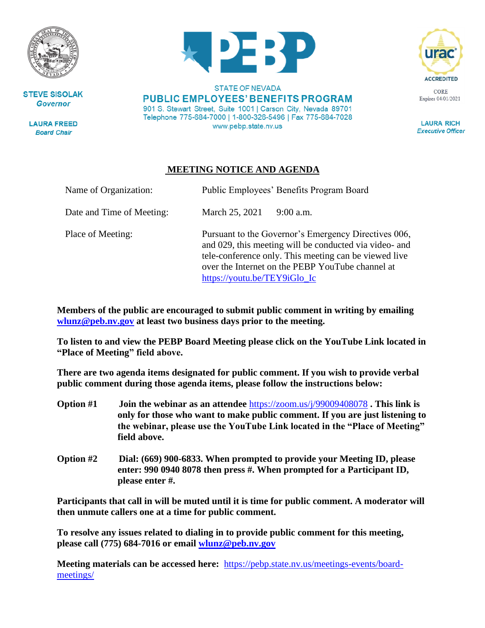

**STEVE SISOLAK Governor** 

**LAURA FREED Board Chair** 



**STATE OF NEVADA PUBLIC EMPLOYEES' BENEFITS PROGRAM** 901 S. Stewart Street, Suite 1001 | Carson City, Nevada 89701 Telephone 775-684-7000 | 1-800-326-5496 | Fax 775-684-7028 www.pebp.state.nv.us



**LAURA RICH Executive Officer** 

## **MEETING NOTICE AND AGENDA**

| Name of Organization:     | Public Employees' Benefits Program Board                                                                                                                                                                                                                    |
|---------------------------|-------------------------------------------------------------------------------------------------------------------------------------------------------------------------------------------------------------------------------------------------------------|
| Date and Time of Meeting: | March 25, 2021<br>$9:00$ a.m.                                                                                                                                                                                                                               |
| Place of Meeting:         | Pursuant to the Governor's Emergency Directives 006,<br>and 029, this meeting will be conducted via video- and<br>tele-conference only. This meeting can be viewed live<br>over the Internet on the PEBP YouTube channel at<br>https://youtu.be/TEY9iGlo_Ic |

**Members of the public are encouraged to submit public comment in writing by emailing [wlunz@peb.nv.gov](mailto:wlunz@peb.nv.gov) at least two business days prior to the meeting.**

**To listen to and view the PEBP Board Meeting please click on the YouTube Link located in "Place of Meeting" field above.**

**There are two agenda items designated for public comment. If you wish to provide verbal public comment during those agenda items, please follow the instructions below:**

- **Option #1 Join the webinar as an attendee** <https://zoom.us/j/99009408078> **. This link is only for those who want to make public comment. If you are just listening to the webinar, please use the YouTube Link located in the "Place of Meeting" field above.**
- **Option #2 Dial: (669) 900-6833. When prompted to provide your Meeting ID, please enter: 990 0940 8078 then press #. When prompted for a Participant ID, please enter #.**

**Participants that call in will be muted until it is time for public comment. A moderator will then unmute callers one at a time for public comment.**

**To resolve any issues related to dialing in to provide public comment for this meeting, please call (775) 684-7016 or email [wlunz@peb.nv.gov](mailto:wlunz@peb.nv.gov)**

**Meeting materials can be accessed here:** [https://pebp.state.nv.us/meetings-events/board](https://pebp.state.nv.us/meetings-events/board-meetings/)[meetings/](https://pebp.state.nv.us/meetings-events/board-meetings/)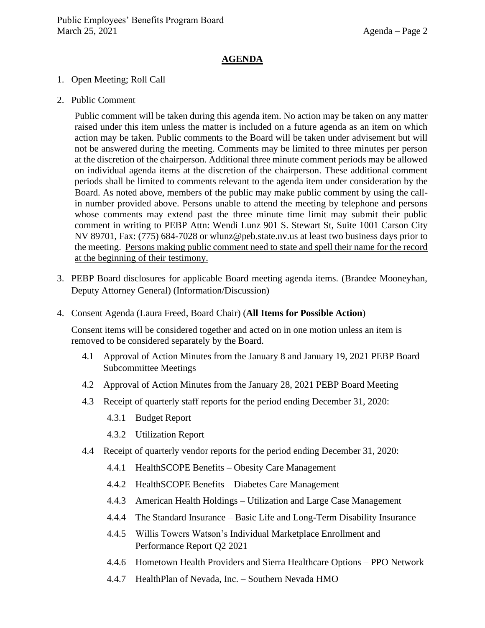## **AGENDA**

- 1. Open Meeting; Roll Call
- 2. Public Comment

Public comment will be taken during this agenda item. No action may be taken on any matter raised under this item unless the matter is included on a future agenda as an item on which action may be taken. Public comments to the Board will be taken under advisement but will not be answered during the meeting. Comments may be limited to three minutes per person at the discretion of the chairperson. Additional three minute comment periods may be allowed on individual agenda items at the discretion of the chairperson. These additional comment periods shall be limited to comments relevant to the agenda item under consideration by the Board. As noted above, members of the public may make public comment by using the callin number provided above. Persons unable to attend the meeting by telephone and persons whose comments may extend past the three minute time limit may submit their public comment in writing to PEBP Attn: Wendi Lunz 901 S. Stewart St, Suite 1001 Carson City NV 89701, Fax: (775) 684-7028 or wlunz@peb.state.nv.us at least two business days prior to the meeting. Persons making public comment need to state and spell their name for the record at the beginning of their testimony.

- 3. PEBP Board disclosures for applicable Board meeting agenda items. (Brandee Mooneyhan, Deputy Attorney General) (Information/Discussion)
- 4. Consent Agenda (Laura Freed, Board Chair) (**All Items for Possible Action**)

Consent items will be considered together and acted on in one motion unless an item is removed to be considered separately by the Board.

- 4.1 Approval of Action Minutes from the January 8 and January 19, 2021 PEBP Board Subcommittee Meetings
- 4.2 Approval of Action Minutes from the January 28, 2021 PEBP Board Meeting
- 4.3 Receipt of quarterly staff reports for the period ending December 31, 2020:
	- 4.3.1 Budget Report
	- 4.3.2 Utilization Report
- 4.4 Receipt of quarterly vendor reports for the period ending December 31, 2020:
	- 4.4.1 HealthSCOPE Benefits Obesity Care Management
	- 4.4.2 HealthSCOPE Benefits Diabetes Care Management
	- 4.4.3 American Health Holdings Utilization and Large Case Management
	- 4.4.4 The Standard Insurance Basic Life and Long-Term Disability Insurance
	- 4.4.5 Willis Towers Watson's Individual Marketplace Enrollment and Performance Report Q2 2021
	- 4.4.6 Hometown Health Providers and Sierra Healthcare Options PPO Network
	- 4.4.7 HealthPlan of Nevada, Inc. Southern Nevada HMO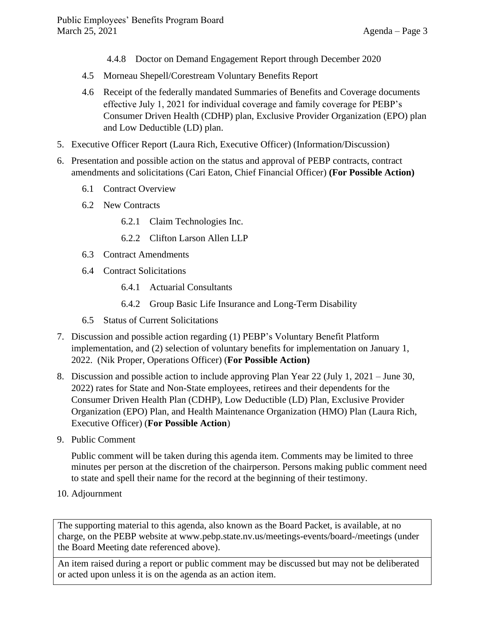- 4.4.8 Doctor on Demand Engagement Report through December 2020
- 4.5 Morneau Shepell/Corestream Voluntary Benefits Report
- 4.6 Receipt of the federally mandated Summaries of Benefits and Coverage documents effective July 1, 2021 for individual coverage and family coverage for PEBP's Consumer Driven Health (CDHP) plan, Exclusive Provider Organization (EPO) plan and Low Deductible (LD) plan.
- 5. Executive Officer Report (Laura Rich, Executive Officer) (Information/Discussion)
- 6. Presentation and possible action on the status and approval of PEBP contracts, contract amendments and solicitations (Cari Eaton, Chief Financial Officer) **(For Possible Action)**
	- 6.1 Contract Overview
	- 6.2 New Contracts
		- 6.2.1 Claim Technologies Inc.
		- 6.2.2 Clifton Larson Allen LLP
	- 6.3 Contract Amendments
	- 6.4 Contract Solicitations
		- 6.4.1 Actuarial Consultants
		- 6.4.2 Group Basic Life Insurance and Long-Term Disability
	- 6.5 Status of Current Solicitations
- 7. Discussion and possible action regarding (1) PEBP's Voluntary Benefit Platform implementation, and (2) selection of voluntary benefits for implementation on January 1, 2022. (Nik Proper, Operations Officer) (**For Possible Action)**
- 8. Discussion and possible action to include approving Plan Year 22 (July 1, 2021 June 30, 2022) rates for State and Non-State employees, retirees and their dependents for the Consumer Driven Health Plan (CDHP), Low Deductible (LD) Plan, Exclusive Provider Organization (EPO) Plan, and Health Maintenance Organization (HMO) Plan (Laura Rich, Executive Officer) (**For Possible Action**)
- 9. Public Comment

Public comment will be taken during this agenda item. Comments may be limited to three minutes per person at the discretion of the chairperson. Persons making public comment need to state and spell their name for the record at the beginning of their testimony.

10. Adjournment

The supporting material to this agenda, also known as the Board Packet, is available, at no charge, on the PEBP website at www.pebp.state.nv.us/meetings-events/board-/meetings (under the Board Meeting date referenced above).

An item raised during a report or public comment may be discussed but may not be deliberated or acted upon unless it is on the agenda as an action item.